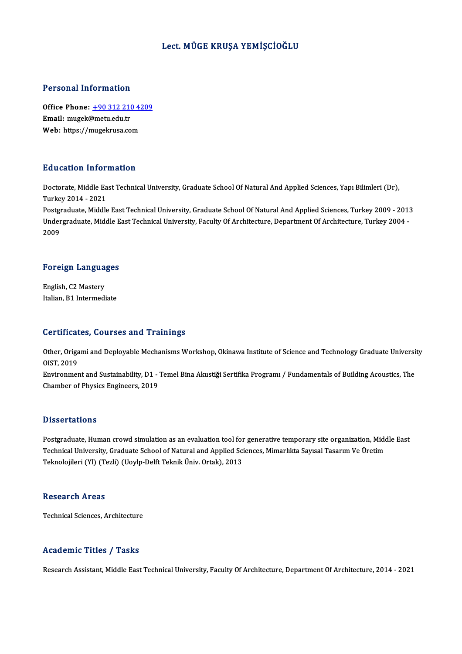#### Lect.MÜGE KRUŞA YEMİŞCİOĞLU

#### Personal Information

Personal Information<br>Office Phone: <u>+90 312 210 4209</u><br>Email: musel:@metu.edu.tr 1 ST SUBSTART THEST MERIST.<br>Office Phone: <u>+90 312 210</u><br>Email: mugek[@metu.edu.tr](tel:+90 312 210 4209) Office Phone: <u>+90 312 210 42</u><br>Email: mugek@metu.edu.tr<br>Web: https://mugekrusa.com Web: https://mugekrusa.com<br>Education Information

Doctorate, Middle East Technical University, Graduate School Of Natural And Applied Sciences, Yapı Bilimleri (Dr), Turkey2014 -2021 Doctorate, Middle East Technical University, Graduate School Of Natural And Applied Sciences, Yapı Bilimleri (Dr),<br>Turkey 2014 - 2021<br>Postgraduate, Middle East Technical University, Graduate School Of Natural And Applied S Turkey 2014 - 2021<br>Postgraduate, Middle East Technical University, Graduate School Of Natural And Applied Sciences, Turkey 2009 - 2013<br>Undergraduate, Middle East Technical University, Faculty Of Architecture, Department Of

Postgi<br>Under<br>2009

# <sub>2009</sub><br>Foreign Languages

Foreign Langua<br>English, C2 Mastery<br>Italian B1 Intermedi English, C2 Mastery<br>Italian, B1 Intermediate

#### Certificates, Courses and Trainings

Certificates, Courses and Trainings<br>Other, Origami and Deployable Mechanisms Workshop, Okinawa Institute of Science and Technology Graduate University<br>OIST 2019 OUT LITUAL<br>Other, Origa<br>OIST, 2019 Other, Origami and Deployable Mechanisms Workshop, Okinawa Institute of Science and Technology Graduate Universi<br>OIST, 2019<br>Environment and Sustainability, D1 - Temel Bina Akustiği Sertifika Programı / Fundamentals of Buil

OIST, 2019<br>Environment and Sustainability, D1 - Temel Bina Akustiği Sertifika Programı / Fundamentals of Building Acoustics, The<br>Chamber of Physics Engineers, 2019

#### **Dissertations**

Dissertations<br>Postgraduate, Human crowd simulation as an evaluation tool for generative temporary site organization, Middle<br>Technical University, Craduate School of Natural and Annlied Sciences, Mimarlyta Sevecal Tecerum V D'isself dicrems<br>Postgraduate, Human crowd simulation as an evaluation tool for generative temporary site organization, Mido<br>Technical University, Graduate School of Natural and Applied Sciences, Mimarlıkta Sayısal Tasarım Technical University, Graduate School of Natural and Applied Sciences, Mimarlıkta Sayısal Tasarım Ve Üretim<br>Teknolojileri (Yl) (Tezli) (Uoylp-Delft Teknik Üniv. Ortak), 2013

#### **Research Areas**

Technical Sciences, Architecture

### Academic Titles / Tasks

Research Assistant, Middle East Technical University, Faculty Of Architecture, Department Of Architecture, 2014 - 2021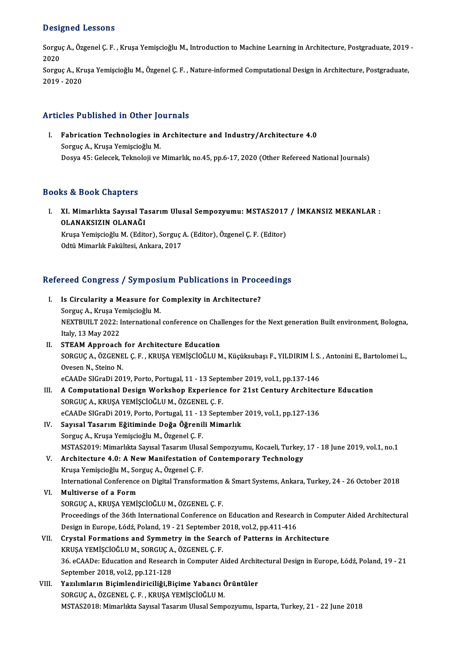### Designed Lessons

Designed Lessons<br>Sorguç A., Özgenel Ç. F. , Kruşa Yemişcioğlu M., Introduction to Machine Learning in Architecture, Postgraduate, 2019 -<br>2020  $2020$ Sorguç A., Özgenel Ç. F. , Kruşa Yemişcioğlu M., Introduction to Machine Learning in Architecture, Postgraduate, 2019<br>2020<br>Sorguç A., Kruşa Yemişcioğlu M., Özgenel Ç. F. , Nature-informed Computational Design in Architectu

2020<br>Sorguç A., Kruşa Yemişcioğlu M., Özgenel Ç. F. , Nature-informed Computational Design in Architecture, Postgraduate,<br>2019 - 2020

## Articles Published in Other Journals

rticles Published in Other Journals<br>I. Fabrication Technologies in Architecture and Industry/Architecture 4.0 Sorguç A., Kruşa Yemişcioğlu<br>Sorguç A., Kruşa Yemişcioğlu M.<br>Dosus 45. Celesek Telmeleji ve Sorguç A., Kruşa Yemişcioğlu M.<br>Dosya 45: Gelecek, Teknoloji ve Mimarlık, no.45, pp.6-17, 2020 (Other Refereed National Journals)

## Books&Book Chapters

OOks & Book Chapters<br>I. XI. Mimarlıkta Sayısal Tasarım Ulusal Sempozyumu: MSTAS2017 / İMKANSIZ MEKANLAR :<br>QLANAKSIZIN QLANAĞI to a book enaptere<br>XI. Mimarlıkta Sayısal Ta<br>OLANAKSIZIN OLANAĞI<br>Kuya Yamissiağlu M. (Edit XI. Mimarlıkta Sayısal Tasarım Ulusal Sempozyumu: MSTAS2017<br>OLANAKSIZIN OLANAĞI<br>Kruşa Yemişcioğlu M. (Editor), Sorguç A. (Editor), Özgenel Ç. F. (Editor)<br>Odtü Mimarlık Fakültesi, Ankara, 2017

**OLANAKSIZIN OLANAĞI**<br>Kruşa Yemişcioğlu M. (Editor), Sorguç *.*<br>Odtü Mimarlık Fakültesi, Ankara, 2017

# odiu Mimariik Fakultesi, Ankara, 2017<br>Refereed Congress / Symposium Publications in Proceedings

- efereed Congress / Symposium Publications in Proce<br>I. Is Circularity a Measure for Complexity in Architecture?<br>Sergue A. Kruss Vemissieğlu M I. Is Circularity a Measure for Complexity in Architecture?<br>Sorguç A., Kruşa Yemişcioğlu M. Is Circularity a Measure for Complexity in Architecture?<br>Sorguç A., Kruşa Yemişcioğlu M.<br>NEXTBUILT 2022: International conference on Challenges for the Next generation Built environment, Bologna,<br>Italy 13 May 2022 Sorguç A., Kruşa Ye<br>NEXTBUILT 2022: I<br>Italy, 13 May 2022<br>STEAM Annroach Italy, 13 May 2022<br>II. STEAM Approach for Architecture Education Italy, 13 May 2022<br>STEAM Approach for Architecture Education<br>SORGUÇ A., ÖZGENEL Ç. F. , KRUŞA YEMİŞCİOĞLU M., Küçüksubaşı F., YILDIRIM İ. S. , Antonini E., Bartolomei L.,
	- STEAM Approach<br>SORGUÇ A., ÖZGENE<br>Ovesen N., Steino N.<br>2CAADe SICreDi 20. SORGUÇ A., ÖZGENEL Ç. F. , KRUŞA YEMİŞCİOĞLU M., Küçüksubaşı F., YILDIRIM İ. S.<br>Ovesen N., Steino N.<br>eCAADe SIGraDi 2019, Porto, Portugal, 11 - 13 September 2019, vol.1, pp.137-146<br>A Computational Dosian Worksbon Experienc

- Ovesen N., Steino N.<br>eCAADe SIGraDi 2019, Porto, Portugal, 11 13 September 2019, vol.1, pp.137-146<br>III. A Computational Design Workshop Experience for 21st Century Architecture Education<br>SOBCUC A KRUSA VEMISCIOČLU M. ÖZC eCAADe SIGraDi 2019, Porto, Portugal, 11 - 13 Sept<br>A Computational Design Workshop Experienc<br>SORGUÇ A., KRUŞA YEMİŞCİOĞLU M., ÖZGENEL Ç. F.<br>2CAADe SICraDi 2019, Perte Pertugal 11, 12 Sept A Computational Design Workshop Experience for 21st Century Architect<br>SORGUÇ A., KRUŞA YEMİŞCİOĞLU M., ÖZGENEL Ç. F.<br>eCAADe SIGraDi 2019, Porto, Portugal, 11 - 13 September 2019, vol.1, pp.127-136<br>Sausal Tasarım Eğitiminde SORGUÇ A., KRUŞA YEMİŞCİOĞLU M., ÖZGENEL Ç. F.<br>eCAADe SIGraDi 2019, Porto, Portugal, 11 - 13 September<br>IV. Sayısal Tasarım Eğitiminde Doğa Öğrenili Mimarlık<br>Sorguç A., Kruşa Yemişcioğlu M., Özgenel Ç. F. eCAADe SIGraDi 2019, Porto, Portugal, 11 - 13 September 2019, vol.1, pp.127-136
	-
- Sayısal Tasarım Eğitiminde Doğa Öğrenili Mimarlık<br>Sorguç A., Kruşa Yemişcioğlu M., Özgenel Ç. F.<br>MSTAS2019: Mimarlıkta Sayısal Tasarım Ulusal Sempozyumu, Kocaeli, Turkey, 17 18 June 2019, vol.1, no.1<br>Arebitecture 4.0: A V. Architecture 4.0: A New Manifestation of Contemporary Technology
- MSTAS2019: Mimarlıkta Sayısal Tasarım Ulusa<br>Architecture 4.0: A New Manifestation o<br>Kruşa Yemişcioğlu M., Sorguç A., Özgenel Ç. F.<br>International Conference on Digital Transform International Conference on Digital Transformation & Smart Systems, Ankara, Turkey, 24 - 26 October 2018<br>Multiverse of a Form Kruşa Yemişcioğlu M., Sorguç A., Özgenel Ç. F.<br>International Conference on Digital Transforn<br>VI. **Multiverse of a Form**

## SORGUÇA.,KRUŞAYEMİŞCİOĞLUM.,ÖZGENEL Ç.F. Multiverse of a Form<br>SORGUÇ A., KRUŞA YEMİŞCİOĞLU M., ÖZGENEL Ç. F.<br>Proceedings of the 36th International Conference on Education and Research in Computer Aided Architectural<br>Pesism in Europe, kédé Boland 19, ...?...1 Sept SORGUÇ A., KRUŞA YEMİŞCİOĞLU M., ÖZGENEL Ç. F.<br>Proceedings of the 36th International Conference on Education and Researd<br>Design in Europe, Łódź, Poland, 19 - 21 September 2018, vol.2, pp.411-416<br>Crystal Fermations and Symm Proceedings of the 36th International Conference on Education and Research in Comp<br>Design in Europe, Łódź, Poland, 19 - 21 September 2018, vol.2, pp.411-416<br>VII. Crystal Formations and Symmetry in the Search of Patterns in

## Design in Europe, Łódź, Poland, 19 - 21 September 2<br>Crystal Formations and Symmetry in the Sear<br>KRUŞA YEMİŞCİOĞLU M., SORGUÇ A., ÖZGENEL Ç. F.<br>26. oCAADe: Education and Bessamb in Computer A 36. eCAADe: Education and Research in Computer Aided Architectural Design in Europe, Łódź, Poland, 19 - 21<br>September 2018, vol.2, pp.121-128 KRUŞA YEMİŞCİOĞLU M., SORGUÇ A., ÖZGENEL Ç. F. 36. eCAADe: Education and Research in Computer Aided Archit<br>September 2018, vol.2, pp.121-128<br>VIII. Yazılımların Biçimlendiriciliği,Biçime Yabancı Örüntüler<br>SOBCUC A ÖZCENEL C E KRUSA VEMİSCİQĞLU M

September 2018, vol.2, pp.121-128<br>Yazılımların Biçimlendiriciliği,Biçime Yabancı (<br>SORGUÇ A., ÖZGENEL Ç. F. , KRUŞA YEMİŞCİOĞLU M.<br>MSTAS2019: Mimarlıkta Sausal Tasarım Ulusal Samn SORGUÇ A., ÖZGENEL Ç. F. , KRUŞA YEMİŞCİOĞLU M.<br>MSTAS2018: Mimarlıkta Sayısal Tasarım Ulusal Sempozyumu, Isparta, Turkey, 21 - 22 June 2018